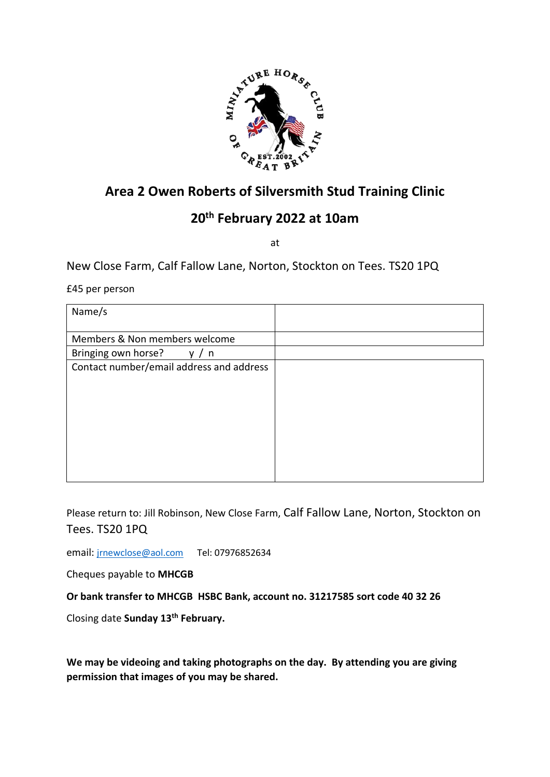

# **Area 2 Owen Roberts of Silversmith Stud Training Clinic**

# **20th February 2022 at 10am**

at

New Close Farm, Calf Fallow Lane, Norton, Stockton on Tees. TS20 1PQ

£45 per person

| Name/s                                   |  |
|------------------------------------------|--|
| Members & Non members welcome            |  |
| Bringing own horse?<br>n<br>v            |  |
| Contact number/email address and address |  |

Please return to: Jill Robinson, New Close Farm, Calf Fallow Lane, Norton, Stockton on Tees. TS20 1PQ

email: [jrnewclose@aol.com](mailto:jrnewclose@aol.com) Tel: 07976852634

Cheques payable to **MHCGB**

**Or bank transfer to MHCGB HSBC Bank, account no. 31217585 sort code 40 32 26**

Closing date **Sunday 13th February.**

**We may be videoing and taking photographs on the day. By attending you are giving permission that images of you may be shared.**